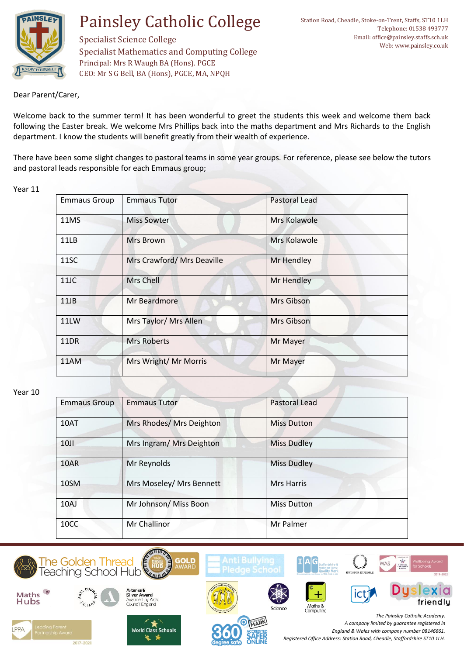

Specialist Science College Specialist Mathematics and Computing College Principal: Mrs R Waugh BA (Hons). PGCE CEO: Mr S G Bell, BA (Hons), PGCE, MA, NPQH

Dear Parent/Carer,

Welcome back to the summer term! It has been wonderful to greet the students this week and welcome them back following the Easter break. We welcome Mrs Phillips back into the maths department and Mrs Richards to the English department. I know the students will benefit greatly from their wealth of experience.

There have been some slight changes to pastoral teams in some year groups. For reference, please see below the tutors and pastoral leads responsible for each Emmaus group;

## Year 11

| <b>Emmaus Group</b> | <b>Emmaus Tutor</b>        | <b>Pastoral Lead</b> |
|---------------------|----------------------------|----------------------|
| 11MS                | Miss Sowter                | Mrs Kolawole         |
| 11LB                | Mrs Brown                  | Mrs Kolawole         |
| 11SC                | Mrs Crawford/ Mrs Deaville | Mr Hendley           |
| 11JC                | Mrs Chell                  | Mr Hendley           |
| 11JB                | Mr Beardmore               | Mrs Gibson           |
| 11LW                | Mrs Taylor/ Mrs Allen      | Mrs Gibson           |
| 11DR                | <b>Mrs Roberts</b>         | Mr Mayer             |
| 11AM                | Mrs Wright/ Mr Morris      | Mr Mayer             |

### Year 10

| <b>Emmaus Group</b> | <b>Emmaus Tutor</b>      | <b>Pastoral Lead</b> |
|---------------------|--------------------------|----------------------|
| 10AT                | Mrs Rhodes/ Mrs Deighton | <b>Miss Dutton</b>   |
| 10                  | Mrs Ingram/ Mrs Deighton | <b>Miss Dudley</b>   |
| 10AR                | Mr Reynolds              | <b>Miss Dudley</b>   |
| 10SM                | Mrs Moseley/ Mrs Bennett | <b>Mrs Harris</b>    |
| 10AJ                | Mr Johnson/ Miss Boon    | <b>Miss Dutton</b>   |
| 10CC                | Mr Challinor             | Mr Palmer            |

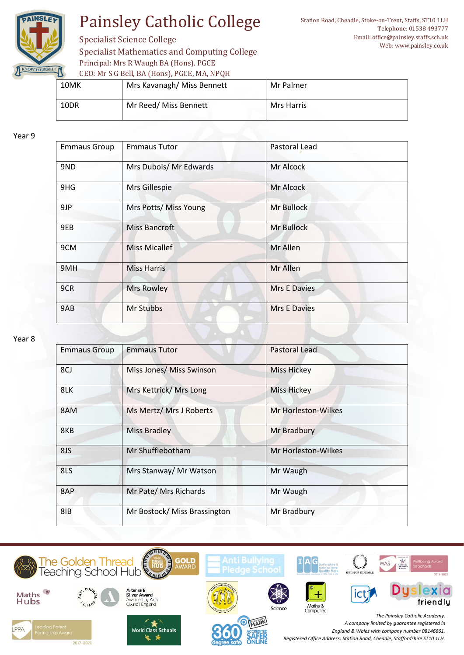

Specialist Science College Specialist Mathematics and Computing College Principal: Mrs R Waugh BA (Hons). PGCE CEO: Mr S G Bell, BA (Hons), PGCE, MA, NPQH

| $0.001$ and $0.0001$ and $0.000$ and $0.000$ and $0.000$ and $0.000$ and $0.000$ and $0.000$ and $0.000$ and $0.000$ and $0.000$ and $0.000$ and $0.000$ and $0.000$ and $0.000$ and $0.000$ and $0.000$ and $0.000$ and $0.0$ |                            |            |
|--------------------------------------------------------------------------------------------------------------------------------------------------------------------------------------------------------------------------------|----------------------------|------------|
| 10MK                                                                                                                                                                                                                           | Mrs Kavanagh/ Miss Bennett | Mr Palmer  |
| 10DR                                                                                                                                                                                                                           | Mr Reed/ Miss Bennett      | Mrs Harris |

#### Year 9

| <b>Emmaus Group</b> | <b>Emmaus Tutor</b>    | Pastoral Lead       |
|---------------------|------------------------|---------------------|
| 9ND                 | Mrs Dubois/ Mr Edwards | Mr Alcock           |
| 9HG                 | Mrs Gillespie          | Mr Alcock           |
| 9JP                 | Mrs Potts/ Miss Young  | Mr Bullock          |
| 9EB                 | <b>Miss Bancroft</b>   | Mr Bullock          |
| 9CM                 | <b>Miss Micallef</b>   | Mr Allen            |
| 9MH                 | <b>Miss Harris</b>     | Mr Allen            |
| 9CR                 | <b>Mrs Rowley</b>      | <b>Mrs E Davies</b> |
| 9AB                 | Mr Stubbs              | Mrs E Davies        |

### Year 8

| <b>Emmaus Group</b> | <b>Emmaus Tutor</b>          | <b>Pastoral Lead</b> |
|---------------------|------------------------------|----------------------|
| 8CJ                 | Miss Jones/ Miss Swinson     | <b>Miss Hickey</b>   |
| 8LK                 | Mrs Kettrick/ Mrs Long       | Miss Hickey          |
| 8AM                 | Ms Mertz/ Mrs J Roberts      | Mr Horleston-Wilkes  |
| 8KB                 | <b>Miss Bradley</b>          | Mr Bradbury          |
| 8JS                 | Mr Shufflebotham             | Mr Horleston-Wilkes  |
| 8LS                 | Mrs Stanway/ Mr Watson       | Mr Waugh             |
| 8AP                 | Mr Pate/ Mrs Richards        | Mr Waugh             |
| 8IB                 | Mr Bostock/ Miss Brassington | Mr Bradbury          |

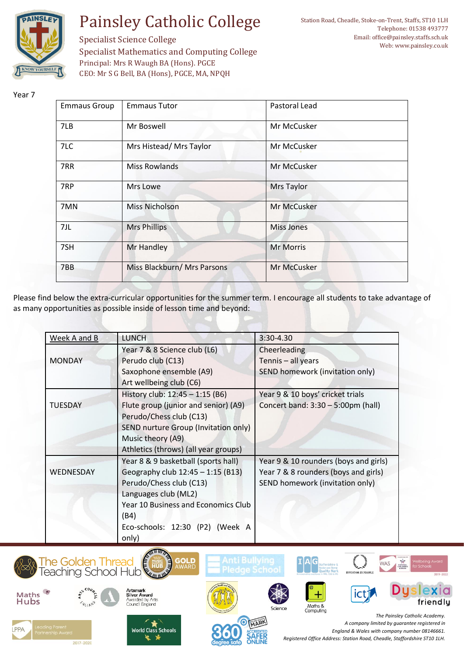

Station Road, Cheadle, Stoke-on-Trent, Staffs, ST10 1LH Telephone: 01538 493777 Email: office@painsley.staffs.sch.uk Web: www.painsley.co.uk

Specialist Science College Specialist Mathematics and Computing College Principal: Mrs R Waugh BA (Hons). PGCE CEO: Mr S G Bell, BA (Hons), PGCE, MA, NPQH

## Year 7

| <b>Emmaus Group</b> | <b>Emmaus Tutor</b>         | Pastoral Lead     |
|---------------------|-----------------------------|-------------------|
| 7LB                 | Mr Boswell                  | Mr McCusker       |
| 7LC                 | Mrs Histead/ Mrs Taylor     | Mr McCusker       |
| 7RR                 | <b>Miss Rowlands</b>        | Mr McCusker       |
| 7RP                 | Mrs Lowe                    | <b>Mrs Taylor</b> |
| 7MN                 | <b>Miss Nicholson</b>       | Mr McCusker       |
| 7JL                 | <b>Mrs Phillips</b>         | <b>Miss Jones</b> |
| 7SH                 | Mr Handley                  | <b>Mr Morris</b>  |
| 7BB                 | Miss Blackburn/ Mrs Parsons | Mr McCusker       |

Please find below the extra-curricular opportunities for the summer term. I encourage all students to take advantage of as many opportunities as possible inside of lesson time and beyond:

| Week A and B   | <b>LUNCH</b>                         | 3:30-4.30                             |
|----------------|--------------------------------------|---------------------------------------|
|                | Year 7 & 8 Science club (L6)         | Cheerleading                          |
| <b>MONDAY</b>  | Perudo club (C13)                    | Tennis - all years                    |
|                | Saxophone ensemble (A9)              | SEND homework (invitation only)       |
|                | Art wellbeing club (C6)              |                                       |
|                | History club: 12:45 - 1:15 (B6)      | Year 9 & 10 boys' cricket trials      |
| <b>TUESDAY</b> | Flute group (junior and senior) (A9) | Concert band: 3:30 - 5:00pm (hall)    |
|                | Perudo/Chess club (C13)              |                                       |
|                | SEND nurture Group (Invitation only) |                                       |
|                | Music theory (A9)                    |                                       |
|                | Athletics (throws) (all year groups) |                                       |
|                | Year 8 & 9 basketball (sports hall)  | Year 9 & 10 rounders (boys and girls) |
| WEDNESDAY      | Geography club 12:45 - 1:15 (B13)    | Year 7 & 8 rounders (boys and girls)  |
|                | Perudo/Chess club (C13)              | SEND homework (invitation only)       |
|                | Languages club (ML2)                 |                                       |
|                | Year 10 Business and Economics Club  |                                       |
|                | (B4)                                 |                                       |
|                | Eco-schools: 12:30 (P2) (Week A      |                                       |
|                | only)                                |                                       |